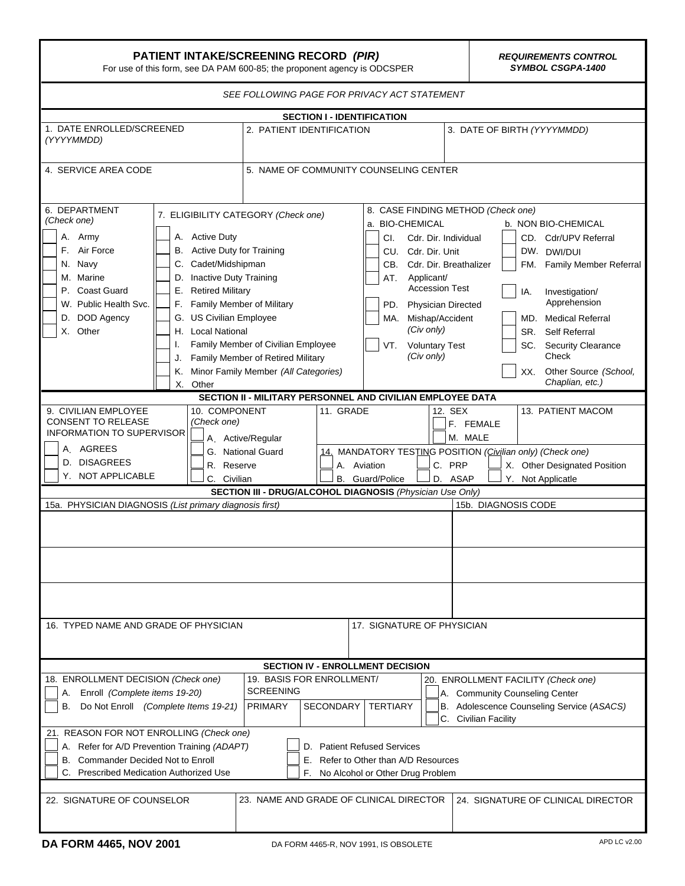| <b>PATIENT INTAKE/SCREENING RECORD (PIR)</b><br>For use of this form, see DA PAM 600-85; the proponent agency is ODCSPER                                                                                         |                                                                                                                                                                                                                                                                                                                                                                                   |                                                                                                      |                                                                                                                                                                                                                                      | <b>REQUIREMENTS CONTROL</b><br><b>SYMBOL CSGPA-1400</b>                                                                                                                                                                                                                                        |  |
|------------------------------------------------------------------------------------------------------------------------------------------------------------------------------------------------------------------|-----------------------------------------------------------------------------------------------------------------------------------------------------------------------------------------------------------------------------------------------------------------------------------------------------------------------------------------------------------------------------------|------------------------------------------------------------------------------------------------------|--------------------------------------------------------------------------------------------------------------------------------------------------------------------------------------------------------------------------------------|------------------------------------------------------------------------------------------------------------------------------------------------------------------------------------------------------------------------------------------------------------------------------------------------|--|
|                                                                                                                                                                                                                  |                                                                                                                                                                                                                                                                                                                                                                                   | SEE FOLLOWING PAGE FOR PRIVACY ACT STATEMENT                                                         |                                                                                                                                                                                                                                      |                                                                                                                                                                                                                                                                                                |  |
|                                                                                                                                                                                                                  |                                                                                                                                                                                                                                                                                                                                                                                   | <b>SECTION I - IDENTIFICATION</b>                                                                    |                                                                                                                                                                                                                                      |                                                                                                                                                                                                                                                                                                |  |
| 1. DATE ENROLLED/SCREENED<br>(YYYYMMDD)                                                                                                                                                                          |                                                                                                                                                                                                                                                                                                                                                                                   | 2. PATIENT IDENTIFICATION                                                                            |                                                                                                                                                                                                                                      | 3. DATE OF BIRTH (YYYYMMDD)                                                                                                                                                                                                                                                                    |  |
| 4. SERVICE AREA CODE                                                                                                                                                                                             |                                                                                                                                                                                                                                                                                                                                                                                   | 5. NAME OF COMMUNITY COUNSELING CENTER                                                               |                                                                                                                                                                                                                                      |                                                                                                                                                                                                                                                                                                |  |
| 6. DEPARTMENT<br>(Check one)<br>Army<br>А.<br>F. Air Force<br>N. Navy<br>C.<br>M. Marine<br>D.<br>P. Coast Guard<br>Е.<br>W. Public Health Svc.<br>F.<br>D. DOD Agency<br>G.<br>X. Other<br>I.<br>J.<br>Κ.<br>Х. | 7. ELIGIBILITY CATEGORY (Check one)<br>A. Active Duty<br>B. Active Duty for Training<br>Cadet/Midshipman<br><b>Inactive Duty Training</b><br><b>Retired Military</b><br>Family Member of Military<br><b>US Civilian Employee</b><br>H. Local National<br>Family Member of Civilian Employee<br>Family Member of Retired Military<br>Minor Family Member (All Categories)<br>Other | a. BIO-CHEMICAL<br>CI.<br>CU. Cdr. Dir. Unit<br>CB.<br>AT.<br>PD.<br>VT.                             | 8. CASE FINDING METHOD (Check one)<br>Cdr. Dir. Individual<br>Cdr. Dir. Breathalizer<br>Applicant/<br><b>Accession Test</b><br><b>Physician Directed</b><br>MA. Mishap/Accident<br>(Civ only)<br><b>Voluntary Test</b><br>(Civ only) | b. NON BIO-CHEMICAL<br>CD. Cdr/UPV Referral<br>DW. DWI/DUI<br>Family Member Referral<br>FM.<br>Investigation/<br>IA.<br>Apprehension<br><b>Medical Referral</b><br>MD.<br>SR.<br>Self Referral<br><b>Security Clearance</b><br>SC.<br>Check<br>Other Source (School,<br>XX.<br>Chaplian, etc.) |  |
| 9. CIVILIAN EMPLOYEE<br><b>CONSENT TO RELEASE</b><br><b>INFORMATION TO SUPERVISOR</b><br>A. AGREES                                                                                                               | SECTION II - MILITARY PERSONNEL AND CIVILIAN EMPLOYEE DATA<br>10. COMPONENT<br>11. GRADE<br>12. SEX<br>(Check one)<br>F. FEMALE<br>M. MALE<br>A. Active/Regular<br>14. MANDATORY TESTING POSITION (Civilian only) (Check one)<br>G. National Guard<br>D. DISAGREES<br>A. Aviation<br>C. PRP<br>R. Reserve                                                                         |                                                                                                      |                                                                                                                                                                                                                                      | 13. PATIENT MACOM                                                                                                                                                                                                                                                                              |  |
| Y. NOT APPLICABLE                                                                                                                                                                                                | C. Civilian                                                                                                                                                                                                                                                                                                                                                                       | <b>B.</b> Guard/Police<br>SECTION III - DRUG/ALCOHOL DIAGNOSIS (Physician Use Only)                  | D. ASAP                                                                                                                                                                                                                              | X. Other Designated Position<br>Y. Not Applicatle                                                                                                                                                                                                                                              |  |
| 15a. PHYSICIAN DIAGNOSIS (List primary diagnosis first)                                                                                                                                                          |                                                                                                                                                                                                                                                                                                                                                                                   |                                                                                                      | 15b. DIAGNOSIS CODE                                                                                                                                                                                                                  |                                                                                                                                                                                                                                                                                                |  |
| 16. TYPED NAME AND GRADE OF PHYSICIAN                                                                                                                                                                            |                                                                                                                                                                                                                                                                                                                                                                                   | 17. SIGNATURE OF PHYSICIAN                                                                           |                                                                                                                                                                                                                                      |                                                                                                                                                                                                                                                                                                |  |
|                                                                                                                                                                                                                  |                                                                                                                                                                                                                                                                                                                                                                                   | <b>SECTION IV - ENROLLMENT DECISION</b>                                                              |                                                                                                                                                                                                                                      |                                                                                                                                                                                                                                                                                                |  |
| 18. ENROLLMENT DECISION (Check one)<br>A. Enroll (Complete items 19-20)<br>Do Not Enroll (Complete Items 19-21)<br>В.<br>21. REASON FOR NOT ENROLLING (Check one)                                                | 19. BASIS FOR ENROLLMENT/<br><b>SCREENING</b><br><b>PRIMARY</b>                                                                                                                                                                                                                                                                                                                   | <b>TERTIARY</b><br>SECONDARY                                                                         | 20. ENROLLMENT FACILITY (Check one)<br>A. Community Counseling Center<br>C. Civilian Facility                                                                                                                                        | B. Adolescence Counseling Service (ASACS)                                                                                                                                                                                                                                                      |  |
| A. Refer for A/D Prevention Training (ADAPT)<br>B. Commander Decided Not to Enroll<br>C. Prescribed Medication Authorized Use                                                                                    | Е.<br>F.                                                                                                                                                                                                                                                                                                                                                                          | D. Patient Refused Services<br>Refer to Other than A/D Resources<br>No Alcohol or Other Drug Problem |                                                                                                                                                                                                                                      |                                                                                                                                                                                                                                                                                                |  |
| 22. SIGNATURE OF COUNSELOR                                                                                                                                                                                       |                                                                                                                                                                                                                                                                                                                                                                                   | 23. NAME AND GRADE OF CLINICAL DIRECTOR                                                              |                                                                                                                                                                                                                                      | 24. SIGNATURE OF CLINICAL DIRECTOR                                                                                                                                                                                                                                                             |  |

Ŧ